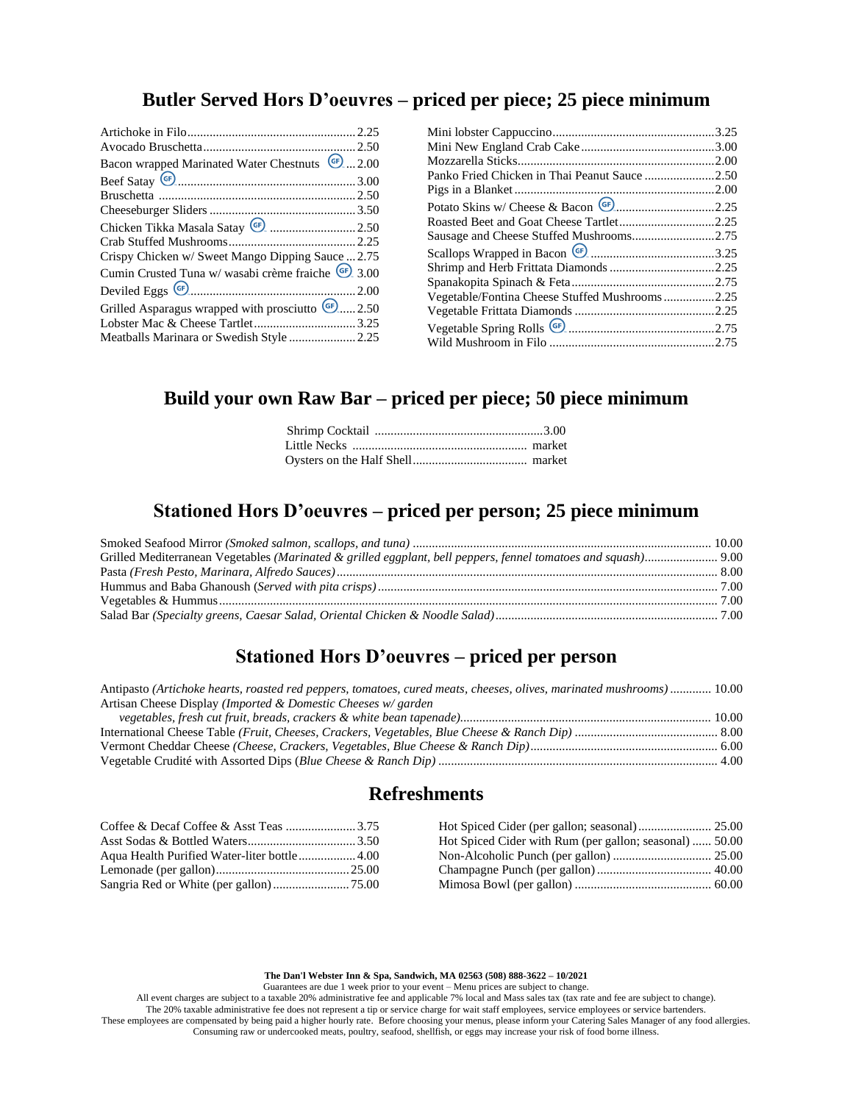## **Butler Served Hors D'oeuvres – priced per piece; 25 piece minimum**

| Bacon wrapped Marinated Water Chestnuts (F) 2.00              |  |
|---------------------------------------------------------------|--|
|                                                               |  |
|                                                               |  |
|                                                               |  |
|                                                               |  |
|                                                               |  |
| Crispy Chicken w/ Sweet Mango Dipping Sauce  2.75             |  |
| Cumin Crusted Tuna w/ wasabi crème fraiche <sup>GF</sup> 3.00 |  |
|                                                               |  |
| Grilled Asparagus wrapped with prosciutto (F)2.50             |  |
|                                                               |  |
|                                                               |  |
|                                                               |  |

| Panko Fried Chicken in Thai Peanut Sauce 2.50                   |  |
|-----------------------------------------------------------------|--|
|                                                                 |  |
|                                                                 |  |
|                                                                 |  |
| Sausage and Cheese Stuffed Mushrooms2.75                        |  |
| Scallops Wrapped in Bacon $\left($ (s) m.m. m.m. m.m. m.m. 3.25 |  |
| Shrimp and Herb Frittata Diamonds 2.25                          |  |
|                                                                 |  |
| Vegetable/Fontina Cheese Stuffed Mushrooms2.25                  |  |
|                                                                 |  |
|                                                                 |  |
|                                                                 |  |
|                                                                 |  |

# **Build your own Raw Bar – priced per piece; 50 piece minimum**

## **Stationed Hors D'oeuvres – priced per person; 25 piece minimum**

# **Stationed Hors D'oeuvres – priced per person**

| Antipasto (Artichoke hearts, roasted red peppers, tomatoes, cured meats, cheeses, olives, marinated mushrooms)  10.00 |  |
|-----------------------------------------------------------------------------------------------------------------------|--|
| Artisan Cheese Display (Imported & Domestic Cheeses w/ garden                                                         |  |
|                                                                                                                       |  |
|                                                                                                                       |  |
|                                                                                                                       |  |
|                                                                                                                       |  |

### **Refreshments**

| Hot Spiced Cider with Rum (per gallon; seasonal)  50.00 |
|---------------------------------------------------------|
|                                                         |
|                                                         |
|                                                         |

**The Dan'l Webster Inn & Spa, Sandwich, MA 02563 (508) 888-3622 – 10/2021**

Guarantees are due 1 week prior to your event – Menu prices are subject to change.

All event charges are subject to a taxable 20% administrative fee and applicable 7% local and Mass sales tax (tax rate and fee are subject to change). The 20% taxable administrative fee does not represent a tip or service charge for wait staff employees, service employees or service bartenders. These employees are compensated by being paid a higher hourly rate. Before choosing your menus, please inform your Catering Sales Manager of any food allergies. Consuming raw or undercooked meats, poultry, seafood, shellfish, or eggs may increase your risk of food borne illness.